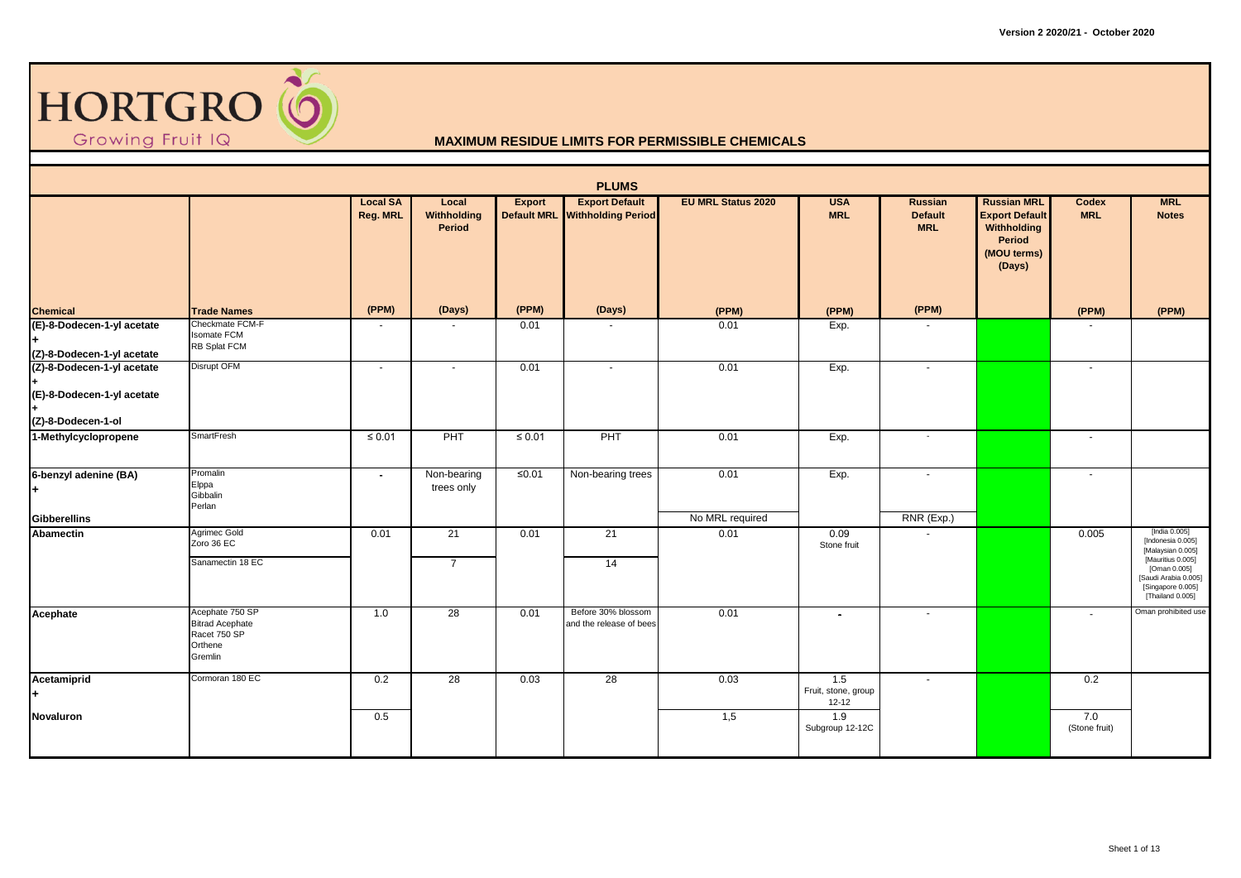

|                                                                                |                                                                                 |                             |                                       |             | <b>PLUMS</b>                                            |                           |                                         |                                         |                                                                                               |                      |                                                                                                                                                               |
|--------------------------------------------------------------------------------|---------------------------------------------------------------------------------|-----------------------------|---------------------------------------|-------------|---------------------------------------------------------|---------------------------|-----------------------------------------|-----------------------------------------|-----------------------------------------------------------------------------------------------|----------------------|---------------------------------------------------------------------------------------------------------------------------------------------------------------|
|                                                                                |                                                                                 | <b>Local SA</b><br>Reg. MRL | Local<br>Withholding<br><b>Period</b> | Export      | <b>Export Default</b><br>Default MRL Withholding Period | <b>EU MRL Status 2020</b> | <b>USA</b><br><b>MRL</b>                | Russian<br><b>Default</b><br><b>MRL</b> | <b>Russian MRL</b><br><b>Export Default</b><br>Withholding<br>Period<br>(MOU terms)<br>(Days) | Codex<br><b>MRL</b>  | <b>MRL</b><br><b>Notes</b>                                                                                                                                    |
| <b>Chemical</b>                                                                | <b>Trade Names</b>                                                              | (PPM)                       | (Days)                                | (PPM)       | (Days)                                                  | (PPM)                     | (PPM)                                   | (PPM)                                   |                                                                                               | (PPM)                | (PPM)                                                                                                                                                         |
| (E)-8-Dodecen-1-yl acetate<br>(Z)-8-Dodecen-1-yl acetate                       | Checkmate FCM-F<br><b>Isomate FCM</b><br>RB Splat FCM                           | $\sim$                      |                                       | 0.01        |                                                         | 0.01                      | Exp.                                    |                                         |                                                                                               |                      |                                                                                                                                                               |
| (Z)-8-Dodecen-1-yl acetate<br>(E)-8-Dodecen-1-yl acetate<br>(Z)-8-Dodecen-1-ol | Disrupt OFM                                                                     | $\sim$                      |                                       | 0.01        | $\sim$                                                  | 0.01                      | Exp.                                    | $\blacksquare$                          |                                                                                               | $\sim$               |                                                                                                                                                               |
| 1-Methylcyclopropene                                                           | SmartFresh                                                                      | $\leq 0.01$                 | PHT                                   | $\leq 0.01$ | PHT                                                     | 0.01                      | Exp.                                    | $\sim$                                  |                                                                                               | $\sim$               |                                                                                                                                                               |
| 6-benzyl adenine (BA)<br>$+$                                                   | Promalin<br>Elppa<br>Gibbalin<br>Perlan                                         | $\sim$                      | Non-bearing<br>trees only             | $≤0.01$     | Non-bearing trees                                       | 0.01                      | Exp.                                    | $\blacksquare$                          |                                                                                               | $\sim$               |                                                                                                                                                               |
| <b>Gibberellins</b>                                                            |                                                                                 |                             |                                       |             |                                                         | No MRL required           |                                         | $RNR$ (Exp.)                            |                                                                                               |                      |                                                                                                                                                               |
| <b>Abamectin</b>                                                               | Agrimec Gold<br>Zoro 36 EC<br>Sanamectin 18 EC                                  | 0.01                        | 21<br>$\overline{7}$                  | 0.01        | 21<br>14                                                | 0.01                      | 0.09<br>Stone fruit                     |                                         |                                                                                               | 0.005                | [India 0.005]<br>[Indonesia 0.005]<br>[Malaysian 0.005]<br>[Mauritius 0.005]<br>[Oman 0.005]<br>[Saudi Arabia 0.005]<br>[Singapore 0.005]<br>[Thailand 0.005] |
| Acephate                                                                       | Acephate 750 SP<br><b>Bitrad Acephate</b><br>Racet 750 SP<br>Orthene<br>Gremlin | 1.0                         | 28                                    | 0.01        | Before 30% blossom<br>and the release of bees           | 0.01                      | $\sim$                                  | ÷.                                      |                                                                                               | $\sim$               | Oman prohibited use                                                                                                                                           |
| Acetamiprid<br>$+$                                                             | Cormoran 180 EC                                                                 | 0.2                         | 28                                    | 0.03        | 28                                                      | 0.03                      | 1.5<br>Fruit, stone, group<br>$12 - 12$ |                                         |                                                                                               | 0.2                  |                                                                                                                                                               |
| Novaluron                                                                      |                                                                                 | 0.5                         |                                       |             |                                                         | 1,5                       | 1.9<br>Subgroup 12-12C                  |                                         |                                                                                               | 7.0<br>(Stone fruit) |                                                                                                                                                               |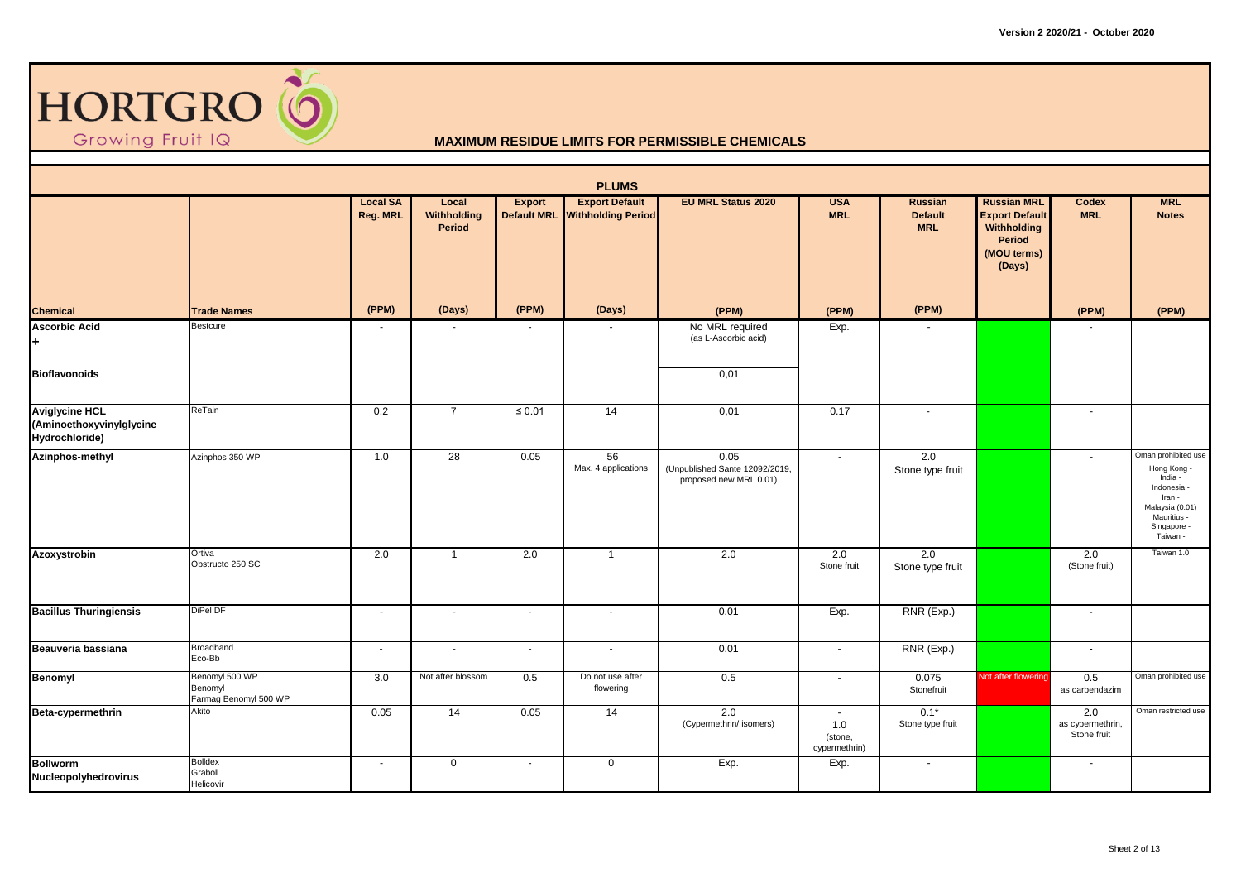

|                                                                     |                                                    |                             |                                |                          | <b>PLUMS</b>                                            |                                                                  |                                           |                                         |                                                                                               |                                        |                                                                                                                                     |
|---------------------------------------------------------------------|----------------------------------------------------|-----------------------------|--------------------------------|--------------------------|---------------------------------------------------------|------------------------------------------------------------------|-------------------------------------------|-----------------------------------------|-----------------------------------------------------------------------------------------------|----------------------------------------|-------------------------------------------------------------------------------------------------------------------------------------|
|                                                                     |                                                    | <b>Local SA</b><br>Reg. MRL | Local<br>Withholding<br>Period | <b>Export</b>            | <b>Export Default</b><br>Default MRL Withholding Period | <b>EU MRL Status 2020</b>                                        | <b>USA</b><br><b>MRL</b>                  | Russian<br><b>Default</b><br><b>MRL</b> | <b>Russian MRL</b><br><b>Export Default</b><br>Withholding<br>Period<br>(MOU terms)<br>(Days) | Codex<br><b>MRL</b>                    | <b>MRL</b><br><b>Notes</b>                                                                                                          |
| <b>Chemical</b>                                                     | <b>Trade Names</b>                                 | (PPM)                       | (Days)                         | (PPM)                    | (Days)                                                  | (PPM)                                                            | (PPM)                                     | (PPM)                                   |                                                                                               | (PPM)                                  | (PPM)                                                                                                                               |
| <b>Ascorbic Acid</b><br>÷.                                          | Bestcure                                           |                             |                                |                          |                                                         | No MRL required<br>(as L-Ascorbic acid)                          | Exp.                                      |                                         |                                                                                               |                                        |                                                                                                                                     |
| <b>Bioflavonoids</b>                                                |                                                    |                             |                                |                          |                                                         | 0,01                                                             |                                           |                                         |                                                                                               |                                        |                                                                                                                                     |
| <b>Aviglycine HCL</b><br>(Aminoethoxyvinylglycine<br>Hydrochloride) | ReTain                                             | 0.2                         | $\overline{7}$                 | $\leq 0.01$              | $\overline{14}$                                         | 0,01                                                             | 0.17                                      | $\blacksquare$                          |                                                                                               | $\sim$                                 |                                                                                                                                     |
| Azinphos-methyl                                                     | Azinphos 350 WP                                    | 1.0                         | 28                             | 0.05                     | 56<br>Max. 4 applications                               | 0.05<br>(Unpublished Sante 12092/2019,<br>proposed new MRL 0.01) | $\blacksquare$                            | 2.0<br>Stone type fruit                 |                                                                                               | $\overline{\phantom{a}}$               | Oman prohibited use<br>Hong Kong -<br>India -<br>Indonesia -<br>Iran -<br>Malaysia (0.01)<br>Mauritius -<br>Singapore -<br>Taiwan - |
| Azoxystrobin                                                        | Ortiva<br>Obstructo 250 SC                         | 2.0                         | $\overline{1}$                 | 2.0                      | $\overline{1}$                                          | 2.0                                                              | 2.0<br>Stone fruit                        | 2.0<br>Stone type fruit                 |                                                                                               | 2.0<br>(Stone fruit)                   | Taiwan 1.0                                                                                                                          |
| <b>Bacillus Thuringiensis</b>                                       | DiPel DF                                           | $\sim$                      | $\sim$                         | $\overline{\phantom{a}}$ | $\sim$                                                  | 0.01                                                             | Exp.                                      | RNR (Exp.)                              |                                                                                               | $\overline{\phantom{a}}$               |                                                                                                                                     |
| Beauveria bassiana                                                  | Broadband<br>Eco-Bb                                | $\sim$                      | $\sim$                         | $\sim$                   | $\sim$                                                  | 0.01                                                             | $\sim$                                    | RNR (Exp.)                              |                                                                                               | $\blacksquare$                         |                                                                                                                                     |
| Benomyl                                                             | Benomyl 500 WP<br>Benomyl<br>Farmag Benomyl 500 WP | 3.0                         | Not after blossom              | 0.5                      | Do not use after<br>flowering                           | 0.5                                                              | $\sim$                                    | 0.075<br>Stonefruit                     | <b>Not after flowering</b>                                                                    | 0.5<br>as carbendazim                  | Oman prohibited use                                                                                                                 |
| Beta-cypermethrin                                                   | Akito                                              | 0.05                        | 14                             | 0.05                     | 14                                                      | 2.0<br>(Cypermethrin/ isomers)                                   | $\sim$<br>1.0<br>(stone,<br>cypermethrin) | $0.1*$<br>Stone type fruit              |                                                                                               | 2.0<br>as cypermethrin,<br>Stone fruit | Oman restricted use                                                                                                                 |
| <b>Bollworm</b><br>Nucleopolyhedrovirus                             | <b>Bolldex</b><br>Graboll<br>Helicovir             | $\sim$                      | $\mathbf 0$                    | $\blacksquare$           | $\mathbf 0$                                             | Exp.                                                             | Exp.                                      | $\overline{\phantom{a}}$                |                                                                                               | $\sim$                                 |                                                                                                                                     |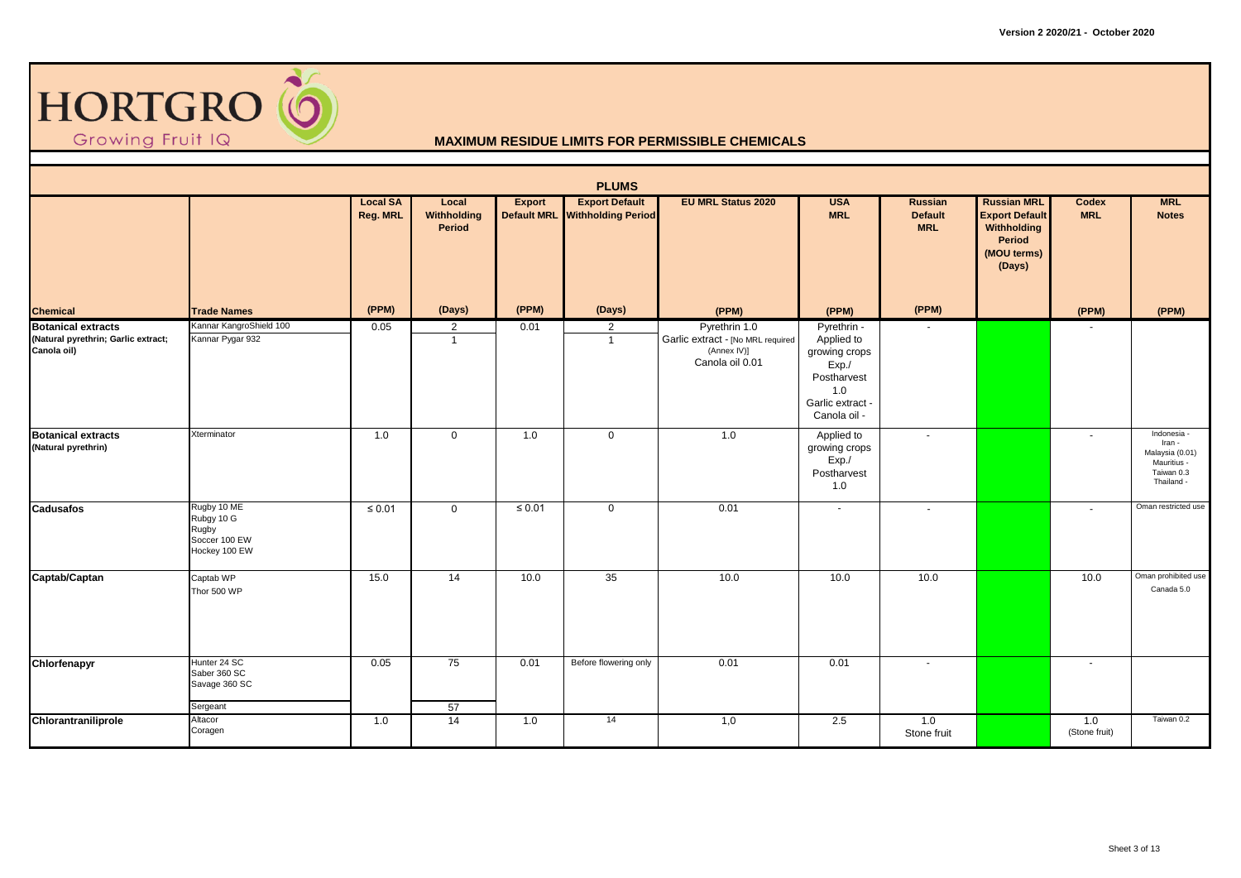

|                                                                                 |                                                                      |                             |                                |             | <b>PLUMS</b>                                            |                                                                                      |                                                                                                             |                                         |                                                                                                      |                      |                                                                                     |
|---------------------------------------------------------------------------------|----------------------------------------------------------------------|-----------------------------|--------------------------------|-------------|---------------------------------------------------------|--------------------------------------------------------------------------------------|-------------------------------------------------------------------------------------------------------------|-----------------------------------------|------------------------------------------------------------------------------------------------------|----------------------|-------------------------------------------------------------------------------------|
|                                                                                 |                                                                      | <b>Local SA</b><br>Reg. MRL | Local<br>Withholding<br>Period | Export      | <b>Export Default</b><br>Default MRL Withholding Period | <b>EU MRL Status 2020</b>                                                            | <b>USA</b><br><b>MRL</b>                                                                                    | Russian<br><b>Default</b><br><b>MRL</b> | <b>Russian MRL</b><br><b>Export Default</b><br><b>Withholding</b><br>Period<br>(MOU terms)<br>(Days) | Codex<br><b>MRL</b>  | <b>MRL</b><br><b>Notes</b>                                                          |
| <b>Chemical</b>                                                                 | <b>Trade Names</b>                                                   | (PPM)                       | (Days)                         | (PPM)       | (Days)                                                  | (PPM)                                                                                | (PPM)                                                                                                       | (PPM)                                   |                                                                                                      | (PPM)                | (PPM)                                                                               |
| <b>Botanical extracts</b><br>(Natural pyrethrin; Garlic extract;<br>Canola oil) | Kannar KangroShield 100<br>Kannar Pygar 932                          | 0.05                        | 2<br>$\overline{1}$            | 0.01        | 2<br>$\overline{1}$                                     | Pyrethrin 1.0<br>Garlic extract - [No MRL required<br>(Annex IV)]<br>Canola oil 0.01 | Pyrethrin -<br>Applied to<br>growing crops<br>Exp./<br>Postharvest<br>1.0<br>Garlic extract<br>Canola oil - |                                         |                                                                                                      |                      |                                                                                     |
| <b>Botanical extracts</b><br>(Natural pyrethrin)                                | Xterminator                                                          | 1.0                         | $\mathbf 0$                    | 1.0         | $\mathbf 0$                                             | 1.0                                                                                  | Applied to<br>growing crops<br>Exp.<br>Postharvest<br>1.0                                                   | $\sim$                                  |                                                                                                      | $\sim$               | Indonesia -<br>Iran -<br>Malaysia (0.01)<br>Mauritius -<br>Taiwan 0.3<br>Thailand - |
| <b>Cadusafos</b>                                                                | Rugby 10 ME<br>Rubgy 10 G<br>Rugby<br>Soccer 100 EW<br>Hockey 100 EW | $\leq 0.01$                 | $\mathbf 0$                    | $\leq 0.01$ | $\mathbf 0$                                             | 0.01                                                                                 | $\sim$                                                                                                      |                                         |                                                                                                      | $\sim$               | Oman restricted use                                                                 |
| Captab/Captan                                                                   | Captab WP<br>Thor 500 WP                                             | 15.0                        | 14                             | 10.0        | $\overline{35}$                                         | 10.0                                                                                 | 10.0                                                                                                        | 10.0                                    |                                                                                                      | 10.0                 | Oman prohibited use<br>Canada 5.0                                                   |
| Chlorfenapyr                                                                    | Hunter 24 SC<br>Saber 360 SC<br>Savage 360 SC<br>Sergeant            | 0.05                        | 75<br>57                       | 0.01        | Before flowering only                                   | 0.01                                                                                 | 0.01                                                                                                        | $\sim$                                  |                                                                                                      | $\sim$               |                                                                                     |
| Chlorantraniliprole                                                             | Altacor<br>Coragen                                                   | 1.0                         | 14                             | 1.0         | 14                                                      | 1,0                                                                                  | 2.5                                                                                                         | 1.0<br>Stone fruit                      |                                                                                                      | 1.0<br>(Stone fruit) | Taiwan 0.2                                                                          |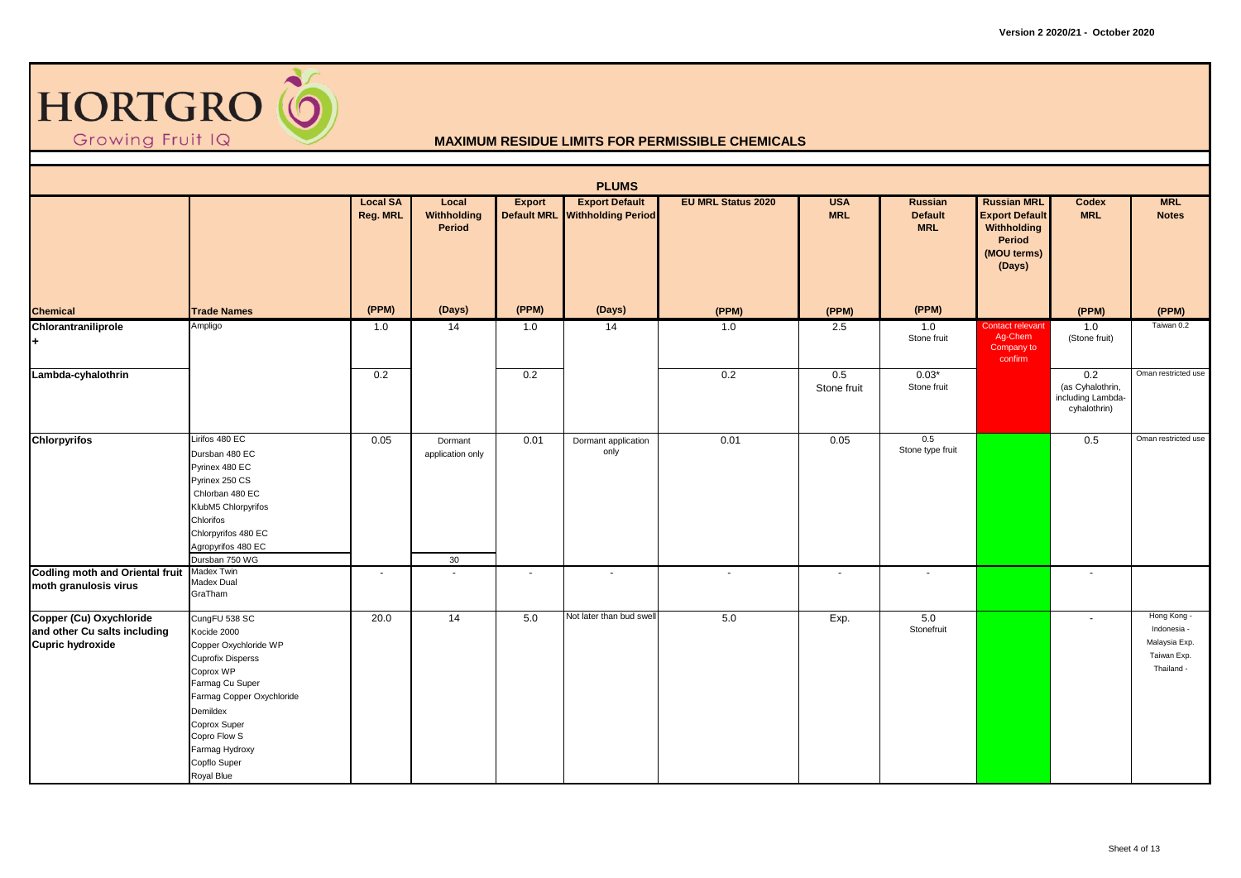

|                                                                                    |                                                                                                                                                                                                                                            |                             |                                   |               | <b>PLUMS</b>                                            |                           |                          |                                                |                                                                                               |                                                              |                                                                          |
|------------------------------------------------------------------------------------|--------------------------------------------------------------------------------------------------------------------------------------------------------------------------------------------------------------------------------------------|-----------------------------|-----------------------------------|---------------|---------------------------------------------------------|---------------------------|--------------------------|------------------------------------------------|-----------------------------------------------------------------------------------------------|--------------------------------------------------------------|--------------------------------------------------------------------------|
|                                                                                    |                                                                                                                                                                                                                                            | <b>Local SA</b><br>Reg. MRL | Local<br>Withholding<br>Period    | <b>Export</b> | <b>Export Default</b><br>Default MRL Withholding Period | <b>EU MRL Status 2020</b> | <b>USA</b><br><b>MRL</b> | <b>Russian</b><br><b>Default</b><br><b>MRL</b> | <b>Russian MRL</b><br><b>Export Default</b><br>Withholding<br>Period<br>(MOU terms)<br>(Days) | Codex<br><b>MRL</b>                                          | <b>MRL</b><br><b>Notes</b>                                               |
| <b>Chemical</b>                                                                    | <b>Trade Names</b>                                                                                                                                                                                                                         | (PPM)                       | (Days)                            | (PPM)         | (Days)                                                  | (PPM)                     | (PPM)                    | (PPM)                                          |                                                                                               | (PPM)                                                        | (PPM)                                                                    |
| Chlorantraniliprole<br>٠.                                                          | Ampligo                                                                                                                                                                                                                                    | 1.0                         | 14                                | 1.0           | 14                                                      | 1.0                       | 2.5                      | 1.0<br>Stone fruit                             | <b>Contact relevant</b><br>Ag-Chem<br>Company to<br>confirm                                   | 1.0<br>(Stone fruit)                                         | Taiwan 0.2                                                               |
| Lambda-cyhalothrin                                                                 |                                                                                                                                                                                                                                            | 0.2                         |                                   | 0.2           |                                                         | 0.2                       | 0.5<br>Stone fruit       | $0.03*$<br>Stone fruit                         |                                                                                               | 0.2<br>(as Cyhalothrin,<br>including Lambda-<br>cyhalothrin) | Oman restricted use                                                      |
| <b>Chlorpyrifos</b>                                                                | Lirifos 480 EC<br>Dursban 480 EC<br>Pyrinex 480 EC<br>Pyrinex 250 CS<br>Chlorban 480 EC<br>KlubM5 Chlorpyrifos<br>Chlorifos<br>Chlorpyrifos 480 EC<br>Agropyrifos 480 EC<br>Dursban 750 WG                                                 | 0.05                        | Dormant<br>application only<br>30 | 0.01          | Dormant application<br>only                             | 0.01                      | 0.05                     | 0.5<br>Stone type fruit                        |                                                                                               | 0.5                                                          | Oman restricted use                                                      |
| <b>Codling moth and Oriental fruit</b><br>moth granulosis virus                    | Madex Twin<br>Madex Dual<br>GraTham                                                                                                                                                                                                        | $\sim$                      | $\overline{\phantom{a}}$          | $\sim$        | $\sim$                                                  | $\sim$                    | $\sim$                   | $\blacksquare$                                 |                                                                                               | $\sim$                                                       |                                                                          |
| Copper (Cu) Oxychloride<br>and other Cu salts including<br><b>Cupric hydroxide</b> | CungFU 538 SC<br>Kocide 2000<br>Copper Oxychloride WP<br><b>Cuprofix Disperss</b><br>Coprox WP<br>Farmag Cu Super<br>Farmag Copper Oxychloride<br>Demildex<br>Coprox Super<br>Copro Flow S<br>Farmag Hydroxy<br>Copflo Super<br>Royal Blue | 20.0                        | 14                                | 5.0           | Not later than bud swell                                | 5.0                       | Exp.                     | 5.0<br>Stonefruit                              |                                                                                               | $\sim$                                                       | Hong Kong -<br>Indonesia -<br>Malaysia Exp.<br>Taiwan Exp.<br>Thailand - |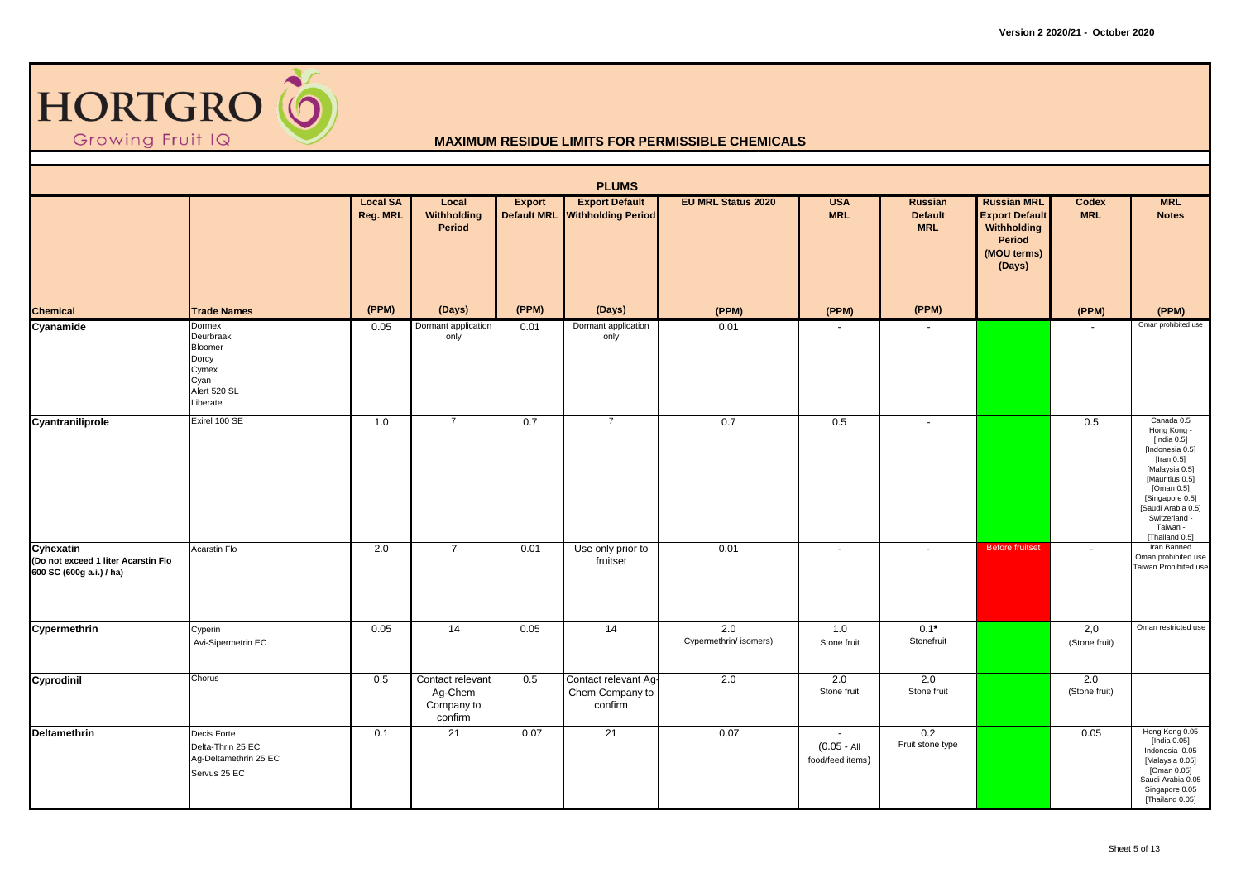

|                                                                              |                                                                                      |                             |                                                      |        | <b>PLUMS</b>                                            |                               |                                             |                                                |                                                                                               |                      |                                                                                                                                                                                                                         |
|------------------------------------------------------------------------------|--------------------------------------------------------------------------------------|-----------------------------|------------------------------------------------------|--------|---------------------------------------------------------|-------------------------------|---------------------------------------------|------------------------------------------------|-----------------------------------------------------------------------------------------------|----------------------|-------------------------------------------------------------------------------------------------------------------------------------------------------------------------------------------------------------------------|
|                                                                              |                                                                                      | <b>Local SA</b><br>Reg. MRL | Local<br>Withholding<br>Period                       | Export | <b>Export Default</b><br>Default MRL Withholding Period | <b>EU MRL Status 2020</b>     | <b>USA</b><br><b>MRL</b>                    | <b>Russian</b><br><b>Default</b><br><b>MRL</b> | <b>Russian MRL</b><br><b>Export Default</b><br>Withholding<br>Period<br>(MOU terms)<br>(Days) | Codex<br><b>MRL</b>  | <b>MRL</b><br><b>Notes</b>                                                                                                                                                                                              |
| Chemical                                                                     | <b>Trade Names</b>                                                                   | (PPM)                       | (Days)                                               | (PPM)  | (Days)                                                  | (PPM)                         | (PPM)                                       | (PPM)                                          |                                                                                               | (PPM)                | (PPM)                                                                                                                                                                                                                   |
| Cyanamide                                                                    | Dormex<br>Deurbraak<br>Bloomer<br>Dorcy<br>Cymex<br>Cyan<br>Alert 520 SL<br>Liberate | 0.05                        | Dormant application<br>only                          | 0.01   | Dormant application<br>only                             | 0.01                          | $\sim$                                      |                                                |                                                                                               | $\blacksquare$       | Oman prohibited use                                                                                                                                                                                                     |
| Cyantraniliprole                                                             | Exirel 100 SE                                                                        | 1.0                         | $\overline{7}$                                       | 0.7    | $\overline{7}$                                          | 0.7                           | 0.5                                         | $\sim$                                         |                                                                                               | 0.5                  | Canada 0.5<br>Hong Kong -<br>[India 0.5]<br>[Indonesia 0.5]<br>[Iran $0.5$ ]<br>[Malaysia 0.5]<br>[Mauritius 0.5]<br>[Oman 0.5]<br>[Singapore 0.5]<br>[Saudi Arabia 0.5]<br>Switzerland -<br>Taiwan -<br>[Thailand 0.5] |
| Cyhexatin<br>(Do not exceed 1 liter Acarstin Flo<br>600 SC (600g a.i.) / ha) | Acarstin Flo                                                                         | 2.0                         | $\overline{7}$                                       | 0.01   | Use only prior to<br>fruitset                           | 0.01                          | $\sim$                                      | $\blacksquare$                                 | <b>Before fruitset</b>                                                                        | $\sim$               | Iran Banned<br>Oman prohibited use<br>Taiwan Prohibited use                                                                                                                                                             |
| Cypermethrin                                                                 | Cyperin<br>Avi-Sipermetrin EC                                                        | 0.05                        | 14                                                   | 0.05   | 14                                                      | 2.0<br>Cypermethrin/ isomers) | 1.0<br>Stone fruit                          | $0.1*$<br>Stonefruit                           |                                                                                               | 2,0<br>(Stone fruit) | Oman restricted use                                                                                                                                                                                                     |
| Cyprodinil                                                                   | Chorus                                                                               | 0.5                         | Contact relevant<br>Ag-Chem<br>Company to<br>confirm | 0.5    | Contact relevant Ag-<br>Chem Company to<br>confirm      | 2.0                           | 2.0<br>Stone fruit                          | 2.0<br>Stone fruit                             |                                                                                               | 2.0<br>(Stone fruit) |                                                                                                                                                                                                                         |
| Deltamethrin                                                                 | Decis Forte<br>Delta-Thrin 25 EC<br>Ag-Deltamethrin 25 EC<br>Servus 25 EC            | 0.1                         | 21                                                   | 0.07   | 21                                                      | 0.07                          | $\sim$<br>$(0.05 - AI)$<br>food/feed items) | 0.2<br>Fruit stone type                        |                                                                                               | 0.05                 | Hong Kong 0.05<br>[India 0.05]<br>Indonesia 0.05<br>[Malaysia 0.05]<br>[Oman 0.05]<br>Saudi Arabia 0.05<br>Singapore 0.05<br>[Thailand 0.05]                                                                            |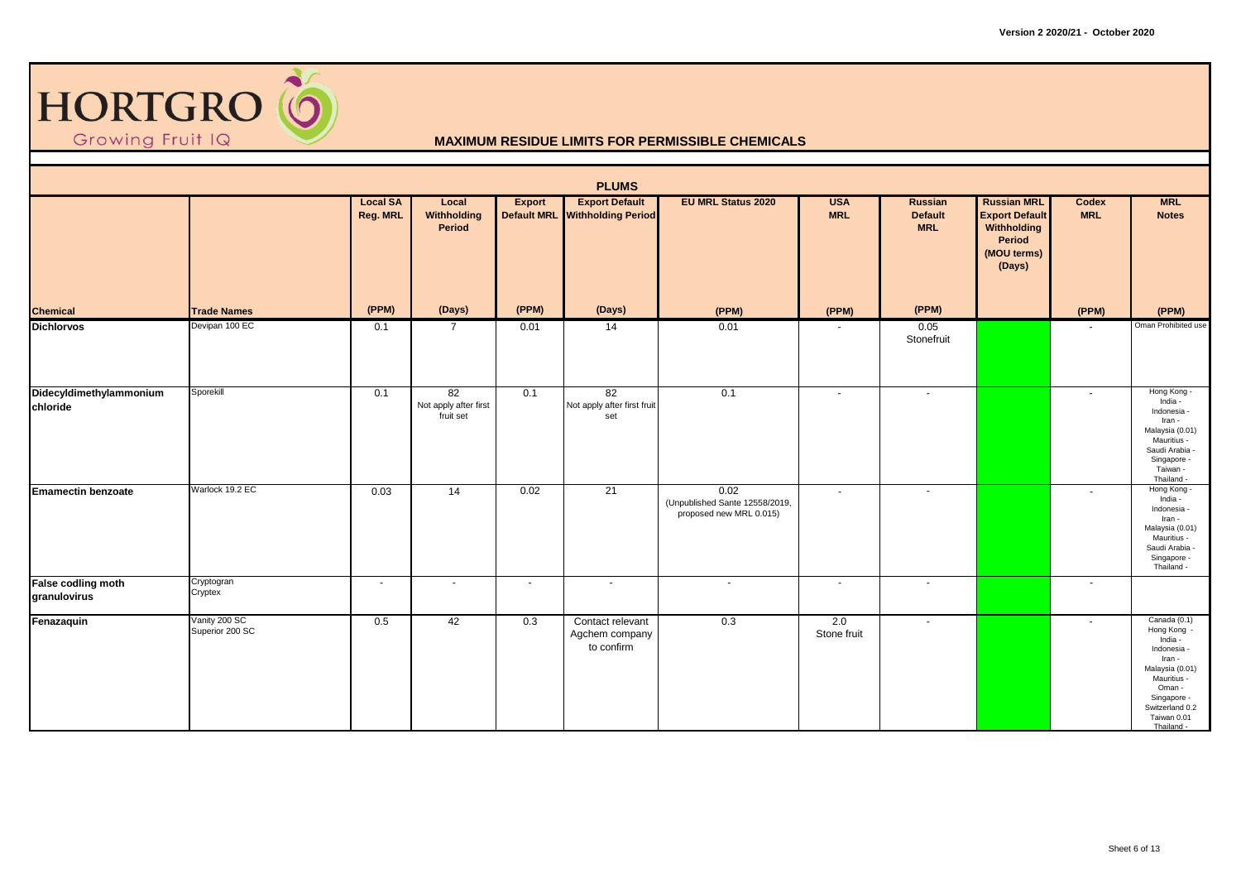

|                                     |                                  |                             |                                          |                          | <b>PLUMS</b>                                            |                                                                   |                          |                                         |                                                                                                      |                     |                                                                                                                                                                              |
|-------------------------------------|----------------------------------|-----------------------------|------------------------------------------|--------------------------|---------------------------------------------------------|-------------------------------------------------------------------|--------------------------|-----------------------------------------|------------------------------------------------------------------------------------------------------|---------------------|------------------------------------------------------------------------------------------------------------------------------------------------------------------------------|
|                                     |                                  | <b>Local SA</b><br>Reg. MRL | Local<br>Withholding<br>Period           | <b>Export</b>            | <b>Export Default</b><br>Default MRL Withholding Period | <b>EU MRL Status 2020</b>                                         | <b>USA</b><br><b>MRL</b> | Russian<br><b>Default</b><br><b>MRL</b> | <b>Russian MRL</b><br><b>Export Default</b><br><b>Withholding</b><br>Period<br>(MOU terms)<br>(Days) | Codex<br><b>MRL</b> | <b>MRL</b><br><b>Notes</b>                                                                                                                                                   |
| <b>Chemical</b>                     | <b>Trade Names</b>               | (PPM)                       | (Days)                                   | (PPM)                    | (Days)                                                  | (PPM)                                                             | (PPM)                    | (PPM)                                   |                                                                                                      | (PPM)               | (PPM)                                                                                                                                                                        |
| <b>Dichlorvos</b>                   | Devipan 100 EC                   | 0.1                         | $\overline{7}$                           | 0.01                     | 14                                                      | 0.01                                                              |                          | 0.05<br>Stonefruit                      |                                                                                                      |                     | Oman Prohibited use                                                                                                                                                          |
| Didecyldimethylammonium<br>chloride | Sporekill                        | 0.1                         | 82<br>Not apply after first<br>fruit set | 0.1                      | 82<br>Not apply after first fruit<br>set                | 0.1                                                               | $\sim$                   | $\blacksquare$                          |                                                                                                      | $\sim$              | Hong Kong -<br>India -<br>Indonesia -<br>Iran -<br>Malaysia (0.01)<br>Mauritius -<br>Saudi Arabia -<br>Singapore -<br>Taiwan -<br>Thailand -                                 |
| <b>Emamectin benzoate</b>           | Warlock 19.2 EC                  | 0.03                        | 14                                       | 0.02                     | 21                                                      | 0.02<br>(Unpublished Sante 12558/2019,<br>proposed new MRL 0.015) | $\sim$                   | $\overline{\phantom{a}}$                |                                                                                                      | $\sim$              | Hong Kong -<br>India -<br>Indonesia -<br>Iran -<br>Malaysia (0.01)<br>Mauritius -<br>Saudi Arabia -<br>Singapore -<br>Thailand -                                             |
| False codling moth<br>granulovirus  | Cryptogran<br>Cryptex            | $\sim$                      | $\sim$                                   | $\overline{\phantom{a}}$ | $\sim$                                                  | $\sim$                                                            | $\overline{\phantom{a}}$ | $\overline{\phantom{a}}$                |                                                                                                      | $\sim$              |                                                                                                                                                                              |
| Fenazaquin                          | Vanity 200 SC<br>Superior 200 SC | 0.5                         | 42                                       | 0.3                      | Contact relevant<br>Agchem company<br>to confirm        | 0.3                                                               | 2.0<br>Stone fruit       | $\sim$                                  |                                                                                                      | $\sim$              | Canada $(0.1)$<br>Hong Kong -<br>India -<br>Indonesia -<br>Iran -<br>Malaysia (0.01)<br>Mauritius -<br>Oman -<br>Singapore -<br>Switzerland 0.2<br>Taiwan 0.01<br>Thailand - |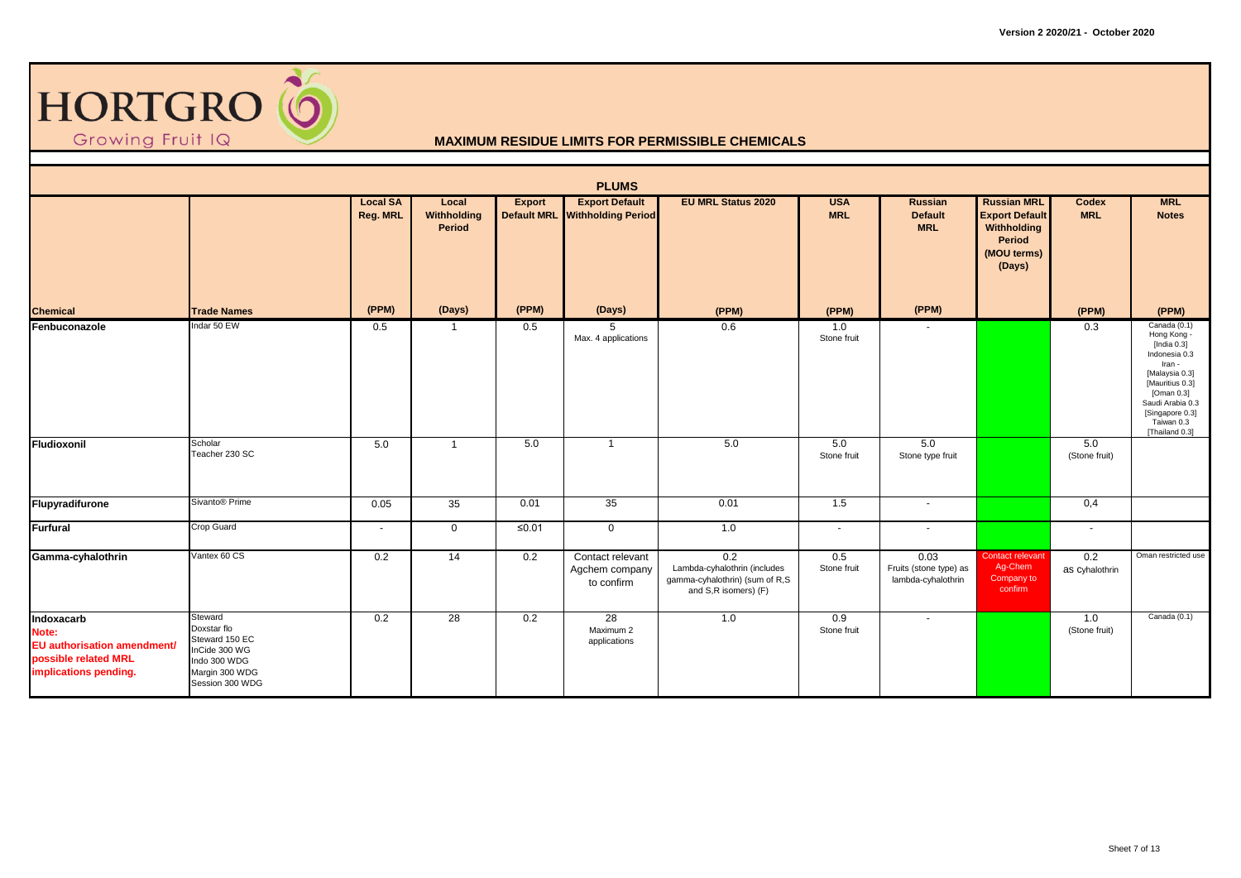

|                                                                                                     |                                                                                                                |                             |                                |         | <b>PLUMS</b>                                            |                                                                                               |                          |                                                      |                                                                                                      |                       |                                                                                                                                                                                                    |
|-----------------------------------------------------------------------------------------------------|----------------------------------------------------------------------------------------------------------------|-----------------------------|--------------------------------|---------|---------------------------------------------------------|-----------------------------------------------------------------------------------------------|--------------------------|------------------------------------------------------|------------------------------------------------------------------------------------------------------|-----------------------|----------------------------------------------------------------------------------------------------------------------------------------------------------------------------------------------------|
|                                                                                                     |                                                                                                                | <b>Local SA</b><br>Reg. MRL | Local<br>Withholding<br>Period | Export  | <b>Export Default</b><br>Default MRL Withholding Period | <b>EU MRL Status 2020</b>                                                                     | <b>USA</b><br><b>MRL</b> | Russian<br><b>Default</b><br><b>MRL</b>              | <b>Russian MRL</b><br><b>Export Default</b><br><b>Withholding</b><br>Period<br>(MOU terms)<br>(Days) | Codex<br><b>MRL</b>   | <b>MRL</b><br><b>Notes</b>                                                                                                                                                                         |
| <b>Chemical</b>                                                                                     | <b>Trade Names</b>                                                                                             | (PPM)                       | (Days)                         | (PPM)   | (Days)                                                  | (PPM)                                                                                         | (PPM)                    | (PPM)                                                |                                                                                                      | (PPM)                 | (PPM)                                                                                                                                                                                              |
| Fenbuconazole                                                                                       | Indar 50 EW                                                                                                    | 0.5                         |                                | 0.5     | 5<br>Max. 4 applications                                | 0.6                                                                                           | 1.0<br>Stone fruit       |                                                      |                                                                                                      | 0.3                   | Canada (0.1)<br>Hong Kong -<br>[India $0.3$ ]<br>Indonesia 0.3<br>Iran -<br>[Malaysia 0.3]<br>[Mauritius 0.3]<br>[Oman 0.3]<br>Saudi Arabia 0.3<br>[Singapore 0.3]<br>Taiwan 0.3<br>[Thailand 0.3] |
| Fludioxonil                                                                                         | Scholar<br>Teacher 230 SC                                                                                      | 5.0                         | $\overline{1}$                 | 5.0     | -1                                                      | 5.0                                                                                           | 5.0<br>Stone fruit       | 5.0<br>Stone type fruit                              |                                                                                                      | 5.0<br>(Stone fruit)  |                                                                                                                                                                                                    |
| Flupyradifurone                                                                                     | Sivanto <sup>®</sup> Prime                                                                                     | 0.05                        | 35                             | 0.01    | 35                                                      | 0.01                                                                                          | 1.5                      | $\sim$                                               |                                                                                                      | 0,4                   |                                                                                                                                                                                                    |
| Furfural                                                                                            | Crop Guard                                                                                                     | $\sim$                      | $\overline{0}$                 | $≤0.01$ | $\overline{0}$                                          | 1.0                                                                                           | $\sim$                   | $\blacksquare$                                       |                                                                                                      | $\sim$                |                                                                                                                                                                                                    |
| Gamma-cyhalothrin                                                                                   | Vantex 60 CS                                                                                                   | 0.2                         | $\overline{14}$                | 0.2     | Contact relevant<br>Agchem company<br>to confirm        | 0.2<br>Lambda-cyhalothrin (includes<br>gamma-cyhalothrin) (sum of R,S<br>and S,R isomers) (F) | 0.5<br>Stone fruit       | 0.03<br>Fruits (stone type) as<br>lambda-cyhalothrin | Contact relevant<br>Ag-Chem<br>Company to<br>confirm                                                 | 0.2<br>as Cyhalothrin | Oman restricted use                                                                                                                                                                                |
| Indoxacarb<br>Note:<br>EU authorisation amendment/<br>possible related MRL<br>implications pending. | Steward<br>Doxstar flo<br>Steward 150 EC<br>InCide 300 WG<br>Indo 300 WDG<br>Margin 300 WDG<br>Session 300 WDG | 0.2                         | 28                             | 0.2     | 28<br>Maximum 2<br>applications                         | 1.0                                                                                           | 0.9<br>Stone fruit       | $\sim$                                               |                                                                                                      | 1.0<br>(Stone fruit)  | Canada (0.1)                                                                                                                                                                                       |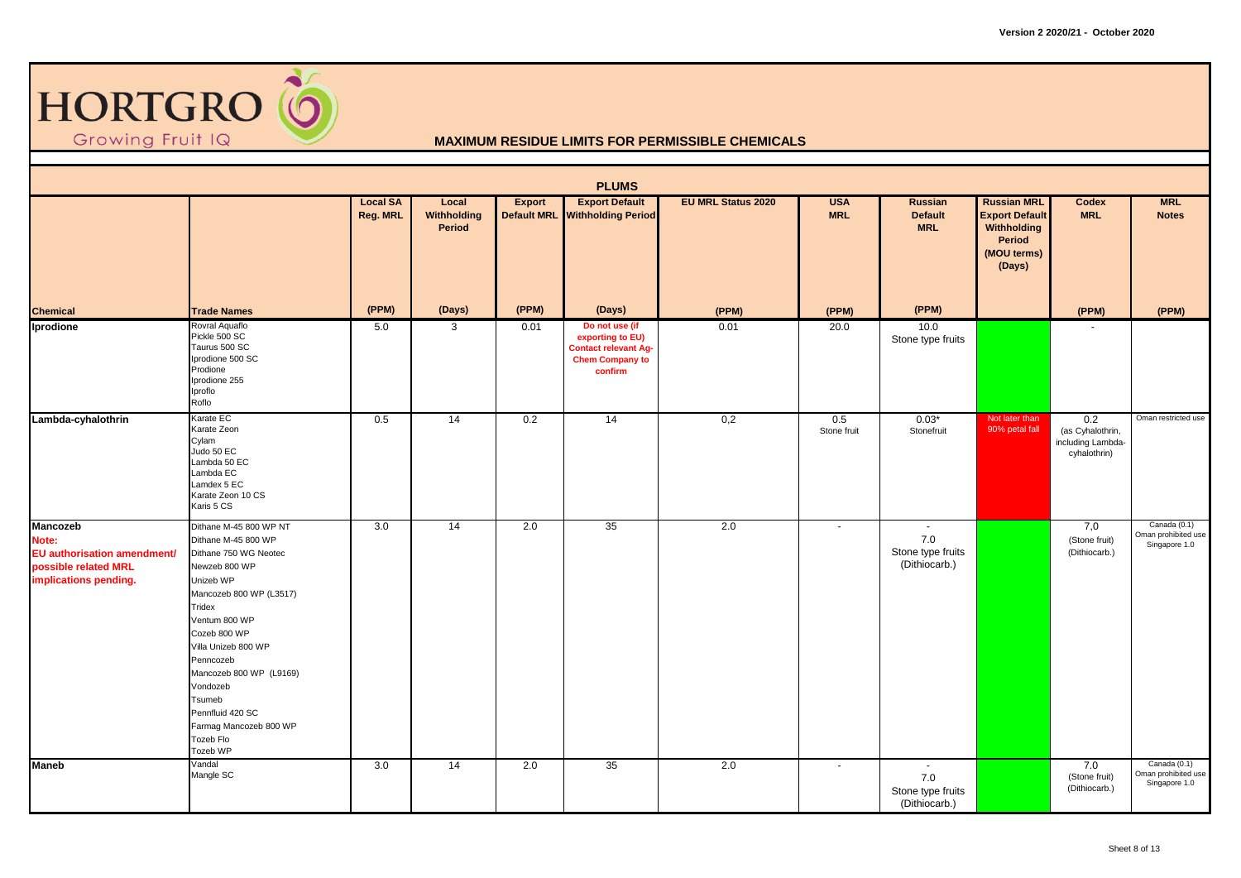

|                                                                                                   |                                                                                                                                                                                                                                                                                                                                        |                             |                                       |        | <b>PLUMS</b>                                                                                           |                           |                          |                                                             |                                                                                               |                                                              |                                                      |
|---------------------------------------------------------------------------------------------------|----------------------------------------------------------------------------------------------------------------------------------------------------------------------------------------------------------------------------------------------------------------------------------------------------------------------------------------|-----------------------------|---------------------------------------|--------|--------------------------------------------------------------------------------------------------------|---------------------------|--------------------------|-------------------------------------------------------------|-----------------------------------------------------------------------------------------------|--------------------------------------------------------------|------------------------------------------------------|
|                                                                                                   |                                                                                                                                                                                                                                                                                                                                        | <b>Local SA</b><br>Reg. MRL | Local<br>Withholding<br><b>Period</b> | Export | <b>Export Default</b><br>Default MRL Withholding Period                                                | <b>EU MRL Status 2020</b> | <b>USA</b><br><b>MRL</b> | <b>Russian</b><br><b>Default</b><br><b>MRL</b>              | <b>Russian MRL</b><br><b>Export Default</b><br>Withholding<br>Period<br>(MOU terms)<br>(Days) | Codex<br><b>MRL</b>                                          | <b>MRL</b><br><b>Notes</b>                           |
| <b>Chemical</b>                                                                                   | <b>Trade Names</b>                                                                                                                                                                                                                                                                                                                     | (PPM)                       | (Days)                                | (PPM)  | (Days)                                                                                                 | (PPM)                     | (PPM)                    | (PPM)                                                       |                                                                                               | (PPM)                                                        | (PPM)                                                |
| Iprodione                                                                                         | Rovral Aquaflo<br>Pickle 500 SC<br>Taurus 500 SC<br>Iprodione 500 SC<br>Prodione<br>Iprodione 255<br>Iproflo<br>Roflo                                                                                                                                                                                                                  | 5.0                         | 3                                     | 0.01   | Do not use (if<br>exporting to EU)<br><b>Contact relevant Ag-</b><br><b>Chem Company to</b><br>confirm | 0.01                      | 20.0                     | 10.0<br>Stone type fruits                                   |                                                                                               | $\overline{\phantom{a}}$                                     |                                                      |
| Lambda-cyhalothrin                                                                                | Karate EC<br>Karate Zeon<br>Cylam<br>Judo 50 EC<br>Lambda 50 EC<br>Lambda EC<br>Lamdex 5 EC<br>Karate Zeon 10 CS<br>Karis 5 CS                                                                                                                                                                                                         | 0.5                         | 14                                    | 0.2    | 14                                                                                                     | 0,2                       | 0.5<br>Stone fruit       | $0.03*$<br>Stonefruit                                       | Not later than<br>90% petal fall                                                              | 0.2<br>(as Cyhalothrin,<br>including Lambda-<br>cyhalothrin) | Oman restricted use                                  |
| Mancozeb<br>Note:<br>EU authorisation amendment/<br>possible related MRL<br>implications pending. | Dithane M-45 800 WP NT<br>Dithane M-45 800 WP<br>Dithane 750 WG Neotec<br>Newzeb 800 WP<br>Unizeb WP<br>Mancozeb 800 WP (L3517)<br>Tridex<br>Ventum 800 WP<br>Cozeb 800 WP<br>Villa Unizeb 800 WP<br>Penncozeb<br>Mancozeb 800 WP (L9169)<br>Vondozeb<br>Tsumeb<br>Pennfluid 420 SC<br>Farmag Mancozeb 800 WP<br>Tozeb Flo<br>Tozeb WP | 3.0                         | 14                                    | 2.0    | 35                                                                                                     | 2.0                       | $\sim$                   | $\blacksquare$<br>7.0<br>Stone type fruits<br>(Dithiocarb.) |                                                                                               | 7,0<br>(Stone fruit)<br>(Dithiocarb.)                        | Canada (0.1)<br>Oman prohibited use<br>Singapore 1.0 |
| <b>Maneb</b>                                                                                      | Vandal<br>Mangle SC                                                                                                                                                                                                                                                                                                                    | 3.0                         | 14                                    | 2.0    | 35                                                                                                     | 2.0                       | $\sim$                   | $\blacksquare$<br>7.0<br>Stone type fruits<br>(Dithiocarb.) |                                                                                               | 7.0<br>(Stone fruit)<br>(Dithiocarb.)                        | Canada (0.1)<br>Oman prohibited use<br>Singapore 1.0 |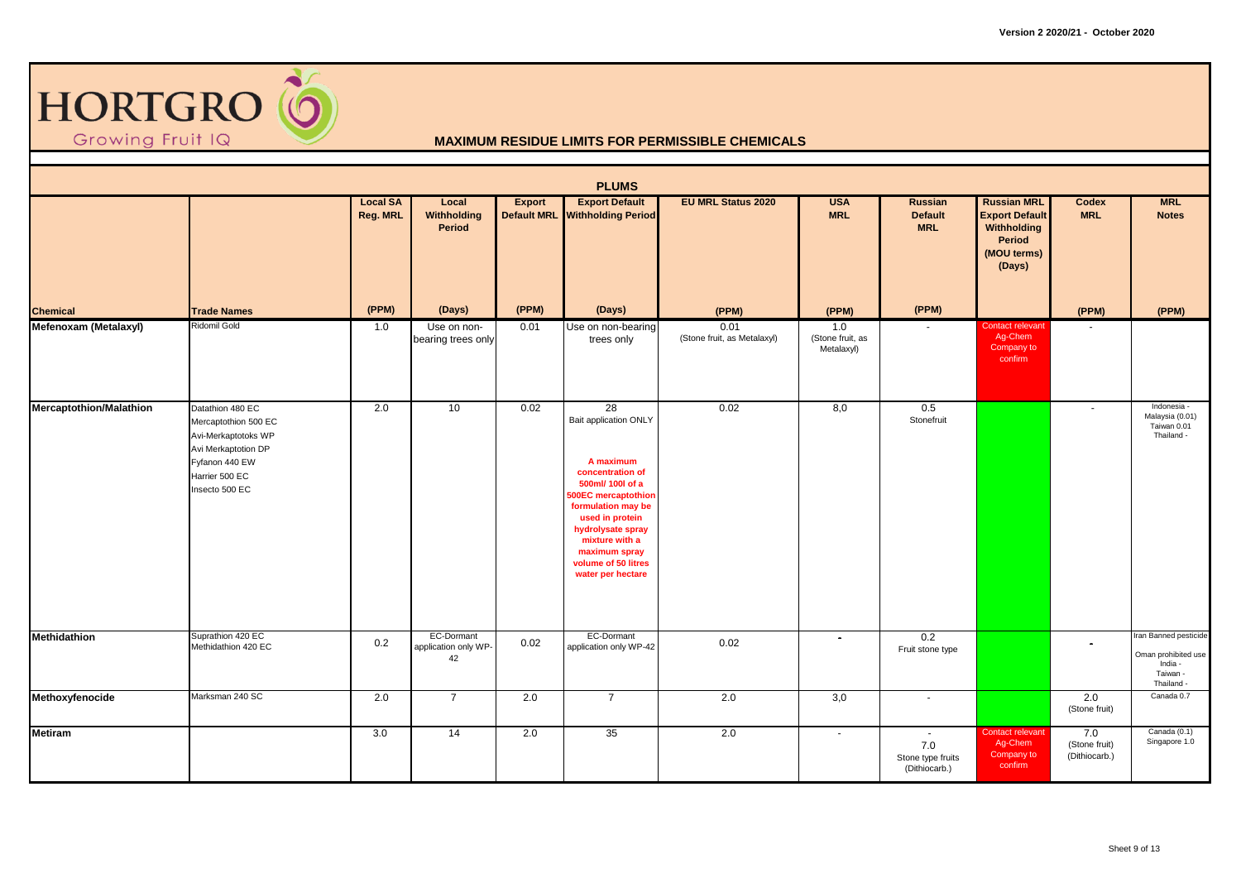

|                         |                                                                                                                                              |                             |                                          |        | <b>PLUMS</b>                                                                                                                                                                                                                                                |                                     |                                       |                                                     |                                                                                               |                                       |                                                                                   |
|-------------------------|----------------------------------------------------------------------------------------------------------------------------------------------|-----------------------------|------------------------------------------|--------|-------------------------------------------------------------------------------------------------------------------------------------------------------------------------------------------------------------------------------------------------------------|-------------------------------------|---------------------------------------|-----------------------------------------------------|-----------------------------------------------------------------------------------------------|---------------------------------------|-----------------------------------------------------------------------------------|
|                         |                                                                                                                                              | <b>Local SA</b><br>Reg. MRL | Local<br>Withholding<br>Period           | Export | <b>Export Default</b><br>Default MRL Withholding Period                                                                                                                                                                                                     | <b>EU MRL Status 2020</b>           | <b>USA</b><br><b>MRL</b>              | <b>Russian</b><br><b>Default</b><br><b>MRL</b>      | <b>Russian MRL</b><br><b>Export Default</b><br>Withholding<br>Period<br>(MOU terms)<br>(Days) | Codex<br><b>MRL</b>                   | <b>MRL</b><br><b>Notes</b>                                                        |
| <b>Chemical</b>         | <b>Trade Names</b>                                                                                                                           | (PPM)                       | (Days)                                   | (PPM)  | (Days)                                                                                                                                                                                                                                                      | (PPM)                               | (PPM)                                 | (PPM)                                               |                                                                                               | (PPM)                                 | (PPM)                                                                             |
| Mefenoxam (Metalaxyl)   | Ridomil Gold                                                                                                                                 | 1.0                         | Use on non-<br>bearing trees only        | 0.01   | Use on non-bearing<br>trees only                                                                                                                                                                                                                            | 0.01<br>(Stone fruit, as Metalaxyl) | 1.0<br>(Stone fruit, as<br>Metalaxyl) |                                                     | <b>Contact relevant</b><br>Ag-Chem<br>Company to<br>confirm                                   |                                       |                                                                                   |
| Mercaptothion/Malathion | Datathion 480 EC<br>Mercaptothion 500 EC<br>Avi-Merkaptotoks WP<br>Avi Merkaptotion DP<br>Fyfanon 440 EW<br>Harrier 500 EC<br>Insecto 500 EC | 2.0                         | 10                                       | 0.02   | 28<br>Bait application ONLY<br>A maximum<br>concentration of<br>500ml/ 100l of a<br><b>500EC</b> mercaptothion<br>formulation may be<br>used in protein<br>hydrolysate spray<br>mixture with a<br>maximum spray<br>volume of 50 litres<br>water per hectare | 0.02                                | 8,0                                   | 0.5<br>Stonefruit                                   |                                                                                               | $\blacksquare$                        | Indonesia -<br>Malaysia (0.01)<br>Taiwan 0.01<br>Thailand -                       |
| <b>Methidathion</b>     | Suprathion 420 EC<br>Methidathion 420 EC                                                                                                     | 0.2                         | EC-Dormant<br>application only WP-<br>42 | 0.02   | EC-Dormant<br>application only WP-42                                                                                                                                                                                                                        | 0.02                                | $\blacksquare$                        | 0.2<br>Fruit stone type                             |                                                                                               | $\sim$                                | Iran Banned pesticide<br>Oman prohibited use<br>India -<br>Taiwan -<br>Thailand - |
| Methoxyfenocide         | Marksman 240 SC                                                                                                                              | 2.0                         | $\overline{7}$                           | 2.0    | $\overline{7}$                                                                                                                                                                                                                                              | 2.0                                 | 3,0                                   | $\blacksquare$                                      |                                                                                               | 2.0<br>(Stone fruit)                  | Canada 0.7                                                                        |
| <b>Metiram</b>          |                                                                                                                                              | 3.0                         | $\overline{14}$                          | 2.0    | 35                                                                                                                                                                                                                                                          | 2.0                                 | $\sim$                                | $\sim$<br>7.0<br>Stone type fruits<br>(Dithiocarb.) | <b>Contact relevant</b><br>Ag-Chem<br>Company to<br>confirm                                   | 7.0<br>(Stone fruit)<br>(Dithiocarb.) | Canada (0.1)<br>Singapore 1.0                                                     |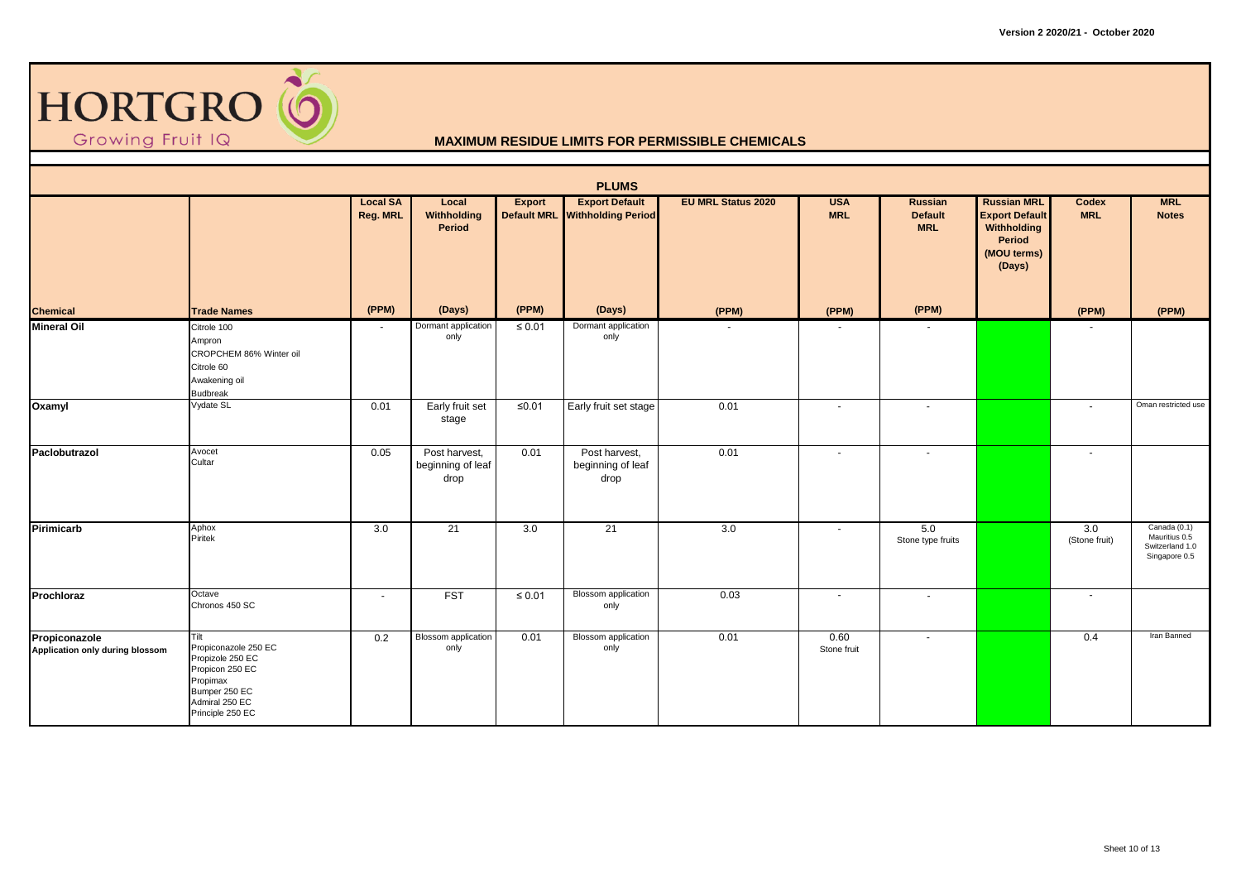

|                                                  |                                                                                                                                        |                             |                                            |             | <b>PLUMS</b>                                            |                           |                          |                                         |                                                                                               |                      |                                                                   |
|--------------------------------------------------|----------------------------------------------------------------------------------------------------------------------------------------|-----------------------------|--------------------------------------------|-------------|---------------------------------------------------------|---------------------------|--------------------------|-----------------------------------------|-----------------------------------------------------------------------------------------------|----------------------|-------------------------------------------------------------------|
|                                                  |                                                                                                                                        | <b>Local SA</b><br>Reg. MRL | Local<br>Withholding<br>Period             | Export      | <b>Export Default</b><br>Default MRL Withholding Period | <b>EU MRL Status 2020</b> | <b>USA</b><br><b>MRL</b> | Russian<br><b>Default</b><br><b>MRL</b> | <b>Russian MRL</b><br><b>Export Default</b><br>Withholding<br>Period<br>(MOU terms)<br>(Days) | Codex<br><b>MRL</b>  | <b>MRL</b><br><b>Notes</b>                                        |
| <b>Chemical</b>                                  | <b>Trade Names</b>                                                                                                                     | (PPM)                       | (Days)                                     | (PPM)       | (Days)                                                  | (PPM)                     | (PPM)                    | (PPM)                                   |                                                                                               | (PPM)                | (PPM)                                                             |
| <b>Mineral Oil</b>                               | Citrole 100<br>Ampron<br>CROPCHEM 86% Winter oil<br>Citrole 60<br>Awakening oil<br><b>Budbreak</b>                                     | $\sim$                      | Dormant application<br>only                | $\leq 0.01$ | Dormant application<br>only                             |                           |                          |                                         |                                                                                               |                      |                                                                   |
| Oxamyl                                           | Vydate SL                                                                                                                              | 0.01                        | Early fruit set<br>stage                   | $\leq 0.01$ | Early fruit set stage                                   | 0.01                      | $\sim$                   | $\sim$                                  |                                                                                               | $\sim$               | Oman restricted use                                               |
| Paclobutrazol                                    | Avocet<br>Cultar                                                                                                                       | 0.05                        | Post harvest,<br>beginning of leaf<br>drop | 0.01        | Post harvest,<br>beginning of leaf<br>drop              | 0.01                      | $\sim$                   | $\sim$                                  |                                                                                               | $\sim$               |                                                                   |
| Pirimicarb                                       | Aphox<br>Piritek                                                                                                                       | 3.0                         | $\overline{21}$                            | 3.0         | $\overline{21}$                                         | 3.0                       | $\sim$                   | 5.0<br>Stone type fruits                |                                                                                               | 3.0<br>(Stone fruit) | Canada (0.1)<br>Mauritius 0.5<br>Switzerland 1.0<br>Singapore 0.5 |
| Prochloraz                                       | Octave<br>Chronos 450 SC                                                                                                               | $\blacksquare$              | <b>FST</b>                                 | $\leq 0.01$ | <b>Blossom</b> application<br>only                      | 0.03                      | $\sim$                   | $\sim$                                  |                                                                                               | $\sim$               |                                                                   |
| Propiconazole<br>Application only during blossom | Tilt<br>Propiconazole 250 EC<br>Propizole 250 EC<br>Propicon 250 EC<br>Propimax<br>Bumper 250 EC<br>Admiral 250 EC<br>Principle 250 EC | 0.2                         | <b>Blossom</b> application<br>only         | 0.01        | <b>Blossom</b> application<br>only                      | 0.01                      | 0.60<br>Stone fruit      | $\blacksquare$                          |                                                                                               | 0.4                  | Iran Banned                                                       |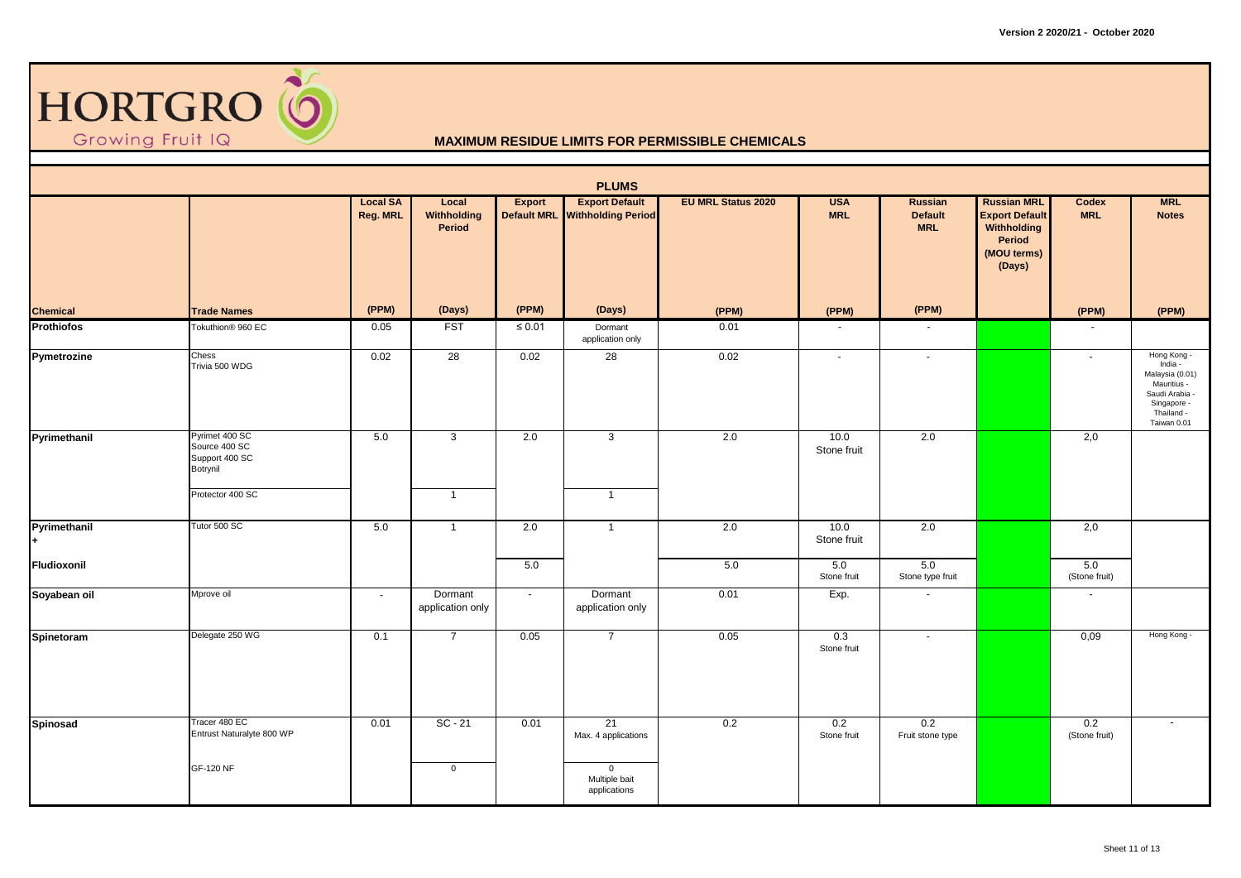

|                   |                                                               |                             |                                |             | <b>PLUMS</b>                                            |                           |                          |                                                |                                                                                               |                      |                                                                                                                        |
|-------------------|---------------------------------------------------------------|-----------------------------|--------------------------------|-------------|---------------------------------------------------------|---------------------------|--------------------------|------------------------------------------------|-----------------------------------------------------------------------------------------------|----------------------|------------------------------------------------------------------------------------------------------------------------|
|                   |                                                               | <b>Local SA</b><br>Reg. MRL | Local<br>Withholding<br>Period | Export      | <b>Export Default</b><br>Default MRL Withholding Period | <b>EU MRL Status 2020</b> | <b>USA</b><br><b>MRL</b> | <b>Russian</b><br><b>Default</b><br><b>MRL</b> | <b>Russian MRL</b><br><b>Export Default</b><br>Withholding<br>Period<br>(MOU terms)<br>(Days) | Codex<br><b>MRL</b>  | <b>MRL</b><br><b>Notes</b>                                                                                             |
| <b>Chemical</b>   | <b>Trade Names</b>                                            | (PPM)                       | (Days)                         | (PPM)       | (Days)                                                  | (PPM)                     | (PPM)                    | (PPM)                                          |                                                                                               | (PPM)                | (PPM)                                                                                                                  |
| <b>Prothiofos</b> | Tokuthion <sup>®</sup> 960 EC                                 | 0.05                        | <b>FST</b>                     | $\leq 0.01$ | Dormant<br>application only                             | 0.01                      | $\sim$                   | $\sim$                                         |                                                                                               | $\blacksquare$       |                                                                                                                        |
| Pymetrozine       | Chess<br>Trivia 500 WDG                                       | 0.02                        | 28                             | 0.02        | $\overline{28}$                                         | 0.02                      | $\blacksquare$           | $\sim$                                         |                                                                                               | $\sim$               | Hong Kong -<br>India -<br>Malaysia (0.01)<br>Mauritius -<br>Saudi Arabia -<br>Singapore -<br>Thailand -<br>Taiwan 0.01 |
| Pyrimethanil      | Pyrimet 400 SC<br>Source 400 SC<br>Support 400 SC<br>Botrynil | 5.0                         | 3                              | 2.0         | $\overline{3}$                                          | 2.0                       | 10.0<br>Stone fruit      | 2.0                                            |                                                                                               | 2,0                  |                                                                                                                        |
|                   | Protector 400 SC                                              |                             | $\overline{1}$                 |             | $\overline{1}$                                          |                           |                          |                                                |                                                                                               |                      |                                                                                                                        |
| Pyrimethanil      | Tutor 500 SC                                                  | 5.0                         | $\overline{1}$                 | 2.0         | $\overline{1}$                                          | 2.0                       | 10.0<br>Stone fruit      | 2.0                                            |                                                                                               | 2,0                  |                                                                                                                        |
| Fludioxonil       |                                                               |                             |                                | 5.0         |                                                         | 5.0                       | 5.0<br>Stone fruit       | 5.0<br>Stone type fruit                        |                                                                                               | 5.0<br>(Stone fruit) |                                                                                                                        |
| Soyabean oil      | Mprove oil                                                    | $\blacksquare$              | Dormant<br>application only    | $\sim$      | Dormant<br>application only                             | 0.01                      | Exp.                     | $\blacksquare$                                 |                                                                                               | $\blacksquare$       |                                                                                                                        |
| Spinetoram        | Delegate 250 WG                                               | 0.1                         | $\overline{7}$                 | 0.05        | $\overline{7}$                                          | 0.05                      | 0.3<br>Stone fruit       | $\omega$                                       |                                                                                               | 0,09                 | Hong Kong -                                                                                                            |
| Spinosad          | Tracer 480 EC<br>Entrust Naturalyte 800 WP                    | 0.01                        | $SC - 21$                      | 0.01        | 21<br>Max. 4 applications                               | 0.2                       | 0.2<br>Stone fruit       | 0.2<br>Fruit stone type                        |                                                                                               | 0.2<br>(Stone fruit) | $\sim$                                                                                                                 |
|                   | GF-120 NF                                                     |                             | $\mathbf 0$                    |             | $\overline{0}$<br>Multiple bait<br>applications         |                           |                          |                                                |                                                                                               |                      |                                                                                                                        |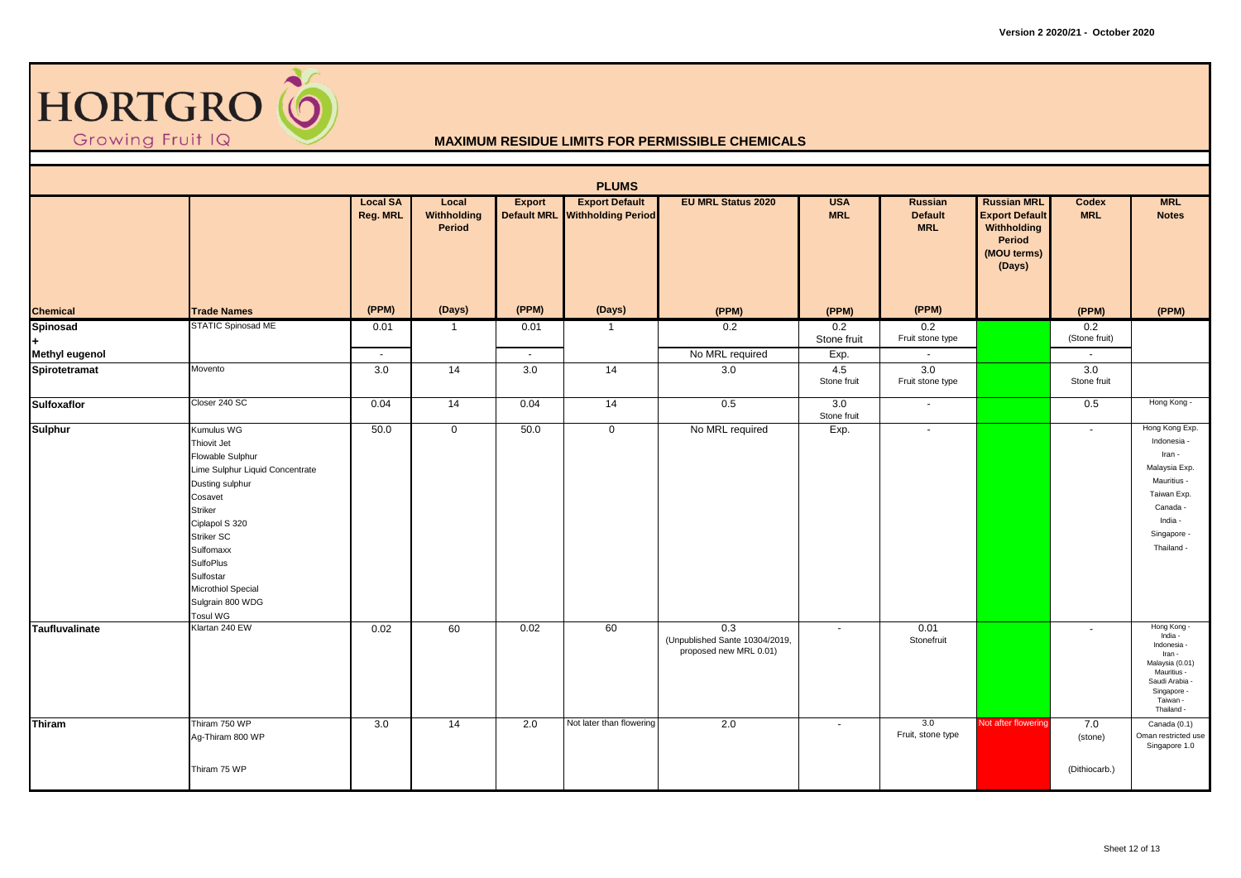

|                                 |                                                                                                                                                                                                                                                                             |                             |                                |                | <b>PLUMS</b>                                            |                                                                 |                            |                                                     |                                                                                               |                                 |                                                                                                                                            |
|---------------------------------|-----------------------------------------------------------------------------------------------------------------------------------------------------------------------------------------------------------------------------------------------------------------------------|-----------------------------|--------------------------------|----------------|---------------------------------------------------------|-----------------------------------------------------------------|----------------------------|-----------------------------------------------------|-----------------------------------------------------------------------------------------------|---------------------------------|--------------------------------------------------------------------------------------------------------------------------------------------|
|                                 |                                                                                                                                                                                                                                                                             | <b>Local SA</b><br>Reg. MRL | Local<br>Withholding<br>Period | Export         | <b>Export Default</b><br>Default MRL Withholding Period | <b>EU MRL Status 2020</b>                                       | <b>USA</b><br><b>MRL</b>   | <b>Russian</b><br><b>Default</b><br><b>MRL</b>      | <b>Russian MRL</b><br><b>Export Default</b><br>Withholding<br>Period<br>(MOU terms)<br>(Days) | Codex<br><b>MRL</b>             | <b>MRL</b><br><b>Notes</b>                                                                                                                 |
| <b>Chemical</b>                 | <b>Trade Names</b>                                                                                                                                                                                                                                                          | (PPM)                       | (Days)                         | (PPM)          | (Days)                                                  | (PPM)                                                           | (PPM)                      | (PPM)                                               |                                                                                               | (PPM)                           | (PPM)                                                                                                                                      |
| Spinosad<br>÷.                  | <b>STATIC Spinosad ME</b>                                                                                                                                                                                                                                                   | 0.01<br>$\sim$              |                                | 0.01<br>$\sim$ | $\mathbf{1}$                                            | 0.2<br>No MRL required                                          | 0.2<br>Stone fruit         | 0.2<br>Fruit stone type<br>$\overline{\phantom{a}}$ |                                                                                               | 0.2<br>(Stone fruit)            |                                                                                                                                            |
| Methyl eugenol<br>Spirotetramat | Movento                                                                                                                                                                                                                                                                     | 3.0                         | 14                             | 3.0            | $\overline{14}$                                         | 3.0                                                             | Exp.<br>4.5<br>Stone fruit | 3.0<br>Fruit stone type                             |                                                                                               | 3.0<br>Stone fruit              |                                                                                                                                            |
| <b>Sulfoxaflor</b>              | Closer 240 SC                                                                                                                                                                                                                                                               | 0.04                        | 14                             | 0.04           | 14                                                      | 0.5                                                             | 3.0<br>Stone fruit         | $\overline{\phantom{a}}$                            |                                                                                               | 0.5                             | Hong Kong -                                                                                                                                |
| Sulphur                         | Kumulus WG<br>Thiovit Jet<br>Flowable Sulphur<br>Lime Sulphur Liquid Concentrate<br>Dusting sulphur<br>Cosavet<br><b>Striker</b><br>Ciplapol S 320<br><b>Striker SC</b><br>Sulfomaxx<br><b>SulfoPlus</b><br>Sulfostar<br>Microthiol Special<br>Sulgrain 800 WDG<br>Tosul WG | 50.0                        | $\mathbf 0$                    | 50.0           | $\mathbf 0$                                             | No MRL required                                                 | Exp.                       | $\sim$                                              |                                                                                               | $\sim$                          | Hong Kong Exp.<br>Indonesia -<br>Iran -<br>Malaysia Exp.<br>Mauritius -<br>Taiwan Exp.<br>Canada -<br>India -<br>Singapore -<br>Thailand - |
| Taufluvalinate                  | Klartan 240 EW                                                                                                                                                                                                                                                              | 0.02                        | 60                             | 0.02           | 60                                                      | 0.3<br>(Unpublished Sante 10304/2019,<br>proposed new MRL 0.01) | $\blacksquare$             | 0.01<br>Stonefruit                                  |                                                                                               | $\sim$                          | Hong Kong -<br>India -<br>Indonesia -<br>Iran -<br>Malaysia (0.01)<br>Mauritius -<br>Saudi Arabia<br>Singapore -<br>Taiwan -<br>Thailand - |
| Thiram                          | Thiram 750 WP<br>Ag-Thiram 800 WP<br>Thiram 75 WP                                                                                                                                                                                                                           | 3.0                         | 14                             | 2.0            | Not later than flowering                                | 2.0                                                             | ÷.                         | 3.0<br>Fruit, stone type                            | Not after flowering                                                                           | 7.0<br>(stone)<br>(Dithiocarb.) | Canada (0.1)<br>Oman restricted use<br>Singapore 1.0                                                                                       |